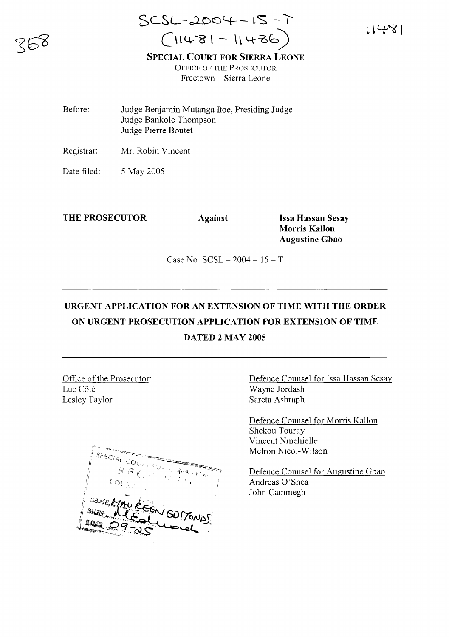

11481

## **SPECIAL COURT FOR SIERRA LEONE** OFFICE OF THE PROSECUTOR Freetown - Sierra Leone

- Before: Judge Benjamin Mutanga Itoe, Presiding Judge Judge Bankole Thompson Judge Pierre Boutet
- Registrar: Mr. Robin Vincent
- Date filed: 5 May 2005

**THE PROSECUTOR Against Issa Hassan Sesay**

**Morris Kallon Augustine Gbao**

Case No.  $SCSL - 2004 - 15 - T$ 

## **URGENT APPLICATION FOR AN EXTENSION OF TIME WITH THE ORDER ON URGENT PROSECUTION APPLICATION FOR EXTENSION OF TIME DATED 2 MAY 2005**

Office of the Prosecutor: Luc Côté Lesley Taylor



Defence Counsel for Issa Hassan Sesay Wayne Jordash Sareta Ashraph

Defence Counsel for Morris Kallon Shekou Touray Vincent Nmehielle Melron Nicol-Wilson

Defence Counsel for Augustine Gbao Andreas 0'Shea John Cammegh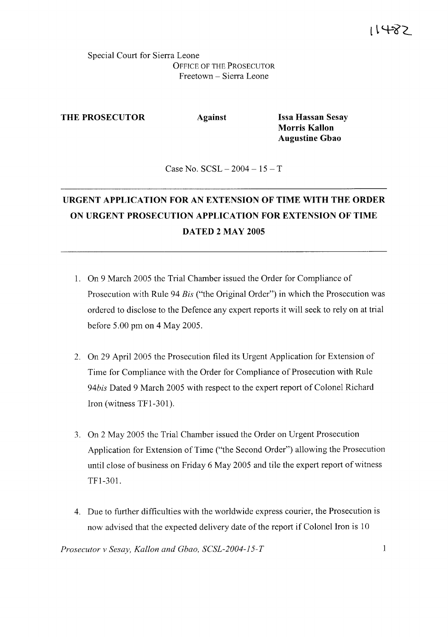Special Court for Sierra Leone OFFICE OF THE PROSECUTOR Freetown - Sierra Leone

**THE PROSECUTOR Against Issa Hassan Sesay**

**Morris Kallon Augustine Gbao**

Case No.  $SCSL - 2004 - 15 - T$ 

## **URGENT APPLICATION FOR AN EXTENSION OF TIME WITH THE ORDER ON URGENT PROSECUTION APPLICATION FOR EXTENSION OF TIME DATED 2 MAY 2005**

- 1. On 9 March 2005 the Trial Chamber issued the Order for Compliance of Prosecution with Rule 94 *Bis* ("the Original Order") in which the Prosecution was ordered to disclose to the Defence any expert reports it will seek to rely on at trial before 5.00 pm on 4 May 2005.
- 2. On 29 April 2005 the Prosecution filed its Urgent Application for Extension of Time for Compliance with the Order for Compliance of Prosecution with Rule *94bis* Dated 9 March 2005 with respect to the expert report of Colonel Richard Iron (witness TFI-301).
- 3. On 2 May 2005 the Trial Chamber issued the Order on Urgent Prosecution Application for Extension of Time ("the Second Order") allowing the Prosecution until close of business on Friday 6 May 2005 and tile the expert report of witness TFI-301.
- 4. Due to further difficulties with the worldwide express courier, the Prosecution is now advised that the expected delivery date of the report if Colonel Iron is 10

*Prosecutor v Sesay, Kallon and Gbao, SCSL-2004-15-T*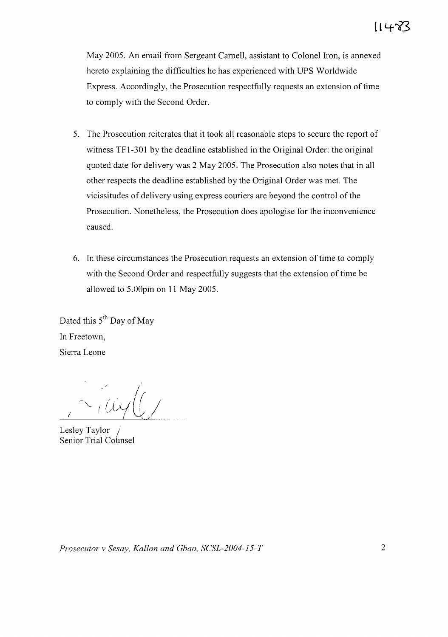May 2005. An email from Sergeant Carnell, assistant to Colonel Iron, is annexed hereto explaining the difficulties he has experienced with UPS Worldwide Express. Accordingly, the Prosecution respectfully requests an extension of time to comply with the Second Order.

- 5. The Prosecution reiterates that it took all reasonable steps to secure the report of witness TFl-301 by the deadline established in the Original Order: the original quoted date for delivery was 2 May 2005. The Prosecution also notes that in all other respects the deadline established by the Original Order was met. The vicissitudes of delivery using express couriers are beyond the control of the Prosecution. Nonetheless, the Prosecution does apologise for the inconvenience caused.
- 6. In these circumstances the Prosecution requests an extension of time to comply with the Second Order and respectfully suggests that the extension of time be allowed to 5.00pm on 11 May 2005.

Dated this  $5<sup>th</sup>$  Day of May In Freetown, Sierra Leone

I ,  $\lambda$  /  $\lambda$  $\sim$  *(Ay)* 

Lesley Taylor Senior Trial Counsel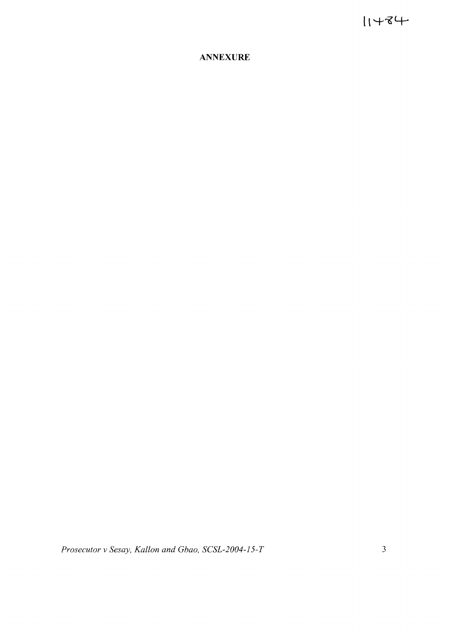$11 + 84$ 

## **ANNEXURE**

*Prosecutor v Sesay, Kallon and Gbao, SCSL-2004-15-T* 3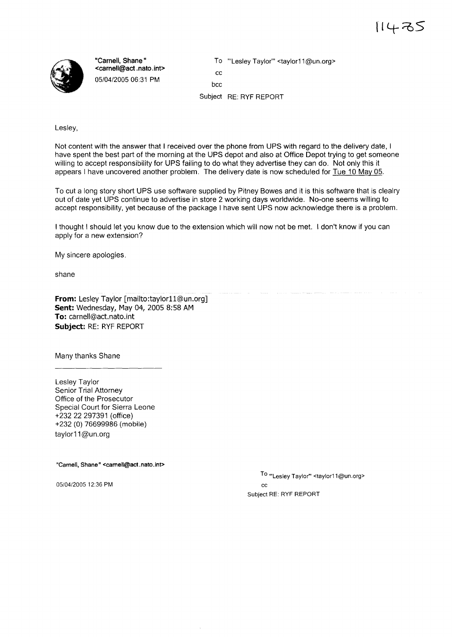

"Carnell, Shane" <carnell@act.nato.int> 05/04/200506:31 PM

To "'Lesley Taylor'" <taylor11@un.org> cc bcc

Subject RE: RYF REPORT

Lesley,

Not content with the answer that I received over the phone from UPS with regard to the delivery date, I have spent the best part of the morning at the UPS depot and also at Office Depot trying to get someone willing to accept responsibility for UPS failing to do what they advertise they can do. Not only this it appears I have uncovered another problem. The delivery date is now scheduled for Tue 10 May 05.

To cut a long story short UPS use software supplied by Pitney Bowes and it is this software that is clealry out of date yet UPS continue to advertise in store 2 working days worldwide. No-one seems willing to accept responsibility, yet because of the package I have sent UPS now acknowledge there is a problem.

I thought I should let you know due to the extension which will now not be met. I don't know if you can apply for a new extension?

My sincere apologies.

shane

From: Lesley Taylor [mailto:taylor11@un.org] **Sent:** Wednesday, May 04, 2005 8:58 AM **To:** carnell@act.nato.int **Subject:** RE: RYF REPORT

Many thanks Shane

Lesley Taylor Senior Trial Attorney Office of the Prosecutor Special Court for Sierra Leone +23222297391 (office) +232 (0) 76699986 (mobile) taylor11@un.org

"Carnell, Shane" <carnell@act.nato.int>

*05/04/2005* 12:36 PM

To "'Lesley Taylor'" <tayior11@un.org> cc Subject RE: RYF REPORT